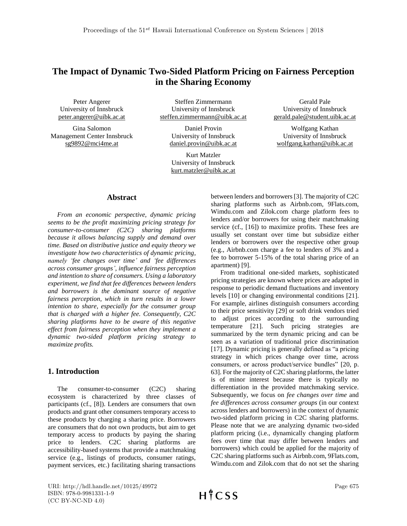# **The Impact of Dynamic Two-Sided Platform Pricing on Fairness Perception in the Sharing Economy**

Peter Angerer University of Innsbruck [peter.angerer@uibk.ac.at](mailto:peter.angerer@uibk.ac.at)

Gina Salomon Management Center Innsbruck [sg9892@mci4me.a](mailto:sg9892@mci4me.)t

Steffen Zimmermann University of Innsbruck steffen.zimmermann@uibk.ac.at

> Daniel Provin University of Innsbruck daniel.provin@uibk.ac.at

Kurt Matzler University of Innsbruck kurt.matzler@uibk.ac.at

Gerald Pale University of Innsbruck [gerald.pale@student.uibk.ac.at](mailto:gerald.pale@student.uibk.ac.at)

Wolfgang Kathan University of Innsbruck [wolfgang.kathan@uibk.ac.at](mailto:wolfgang.kathan@uibk.ac.at)

### **Abstract**

*From an economic perspective, dynamic pricing seems to be the profit maximizing pricing strategy for consumer-to-consumer (C2C) sharing platforms because it allows balancing supply and demand over time. Based on distributive justice and equity theory we investigate how two characteristics of dynamic pricing, namely 'fee changes over time' and 'fee differences across consumer groups', influence fairness perception and intention to share of consumers. Using a laboratory experiment, we find that fee differences between lenders and borrowers is the dominant source of negative fairness perception, which in turn results in a lower intention to share, especially for the consumer group that is charged with a higher fee. Consequently, C2C sharing platforms have to be aware of this negative effect from fairness perception when they implement a dynamic two-sided platform pricing strategy to maximize profits.*

### **1. Introduction**

The consumer-to-consumer (C2C) sharing ecosystem is characterized by three classes of participants (cf., [8]). Lenders are consumers that own products and grant other consumers temporary access to these products by charging a sharing price. Borrowers are consumers that do not own products, but aim to get temporary access to products by paying the sharing price to lenders. C2C sharing platforms are accessibility-based systems that provide a matchmaking service (e.g., listings of products, consumer ratings, payment services, etc.) facilitating sharing transactions between lenders and borrowers [3]. The majority of C2C sharing platforms such as Airbnb.com, 9Flats.com, Wimdu.com and Zilok.com charge platform fees to lenders and/or borrowers for using their matchmaking service (cf., [16]) to maximize profits. These fees are usually set constant over time but subsidize either lenders or borrowers over the respective other group (e.g., Airbnb.com charge a fee to lenders of 3% and a fee to borrower 5-15% of the total sharing price of an apartment) [9].

From traditional one-sided markets, sophisticated pricing strategies are known where prices are adapted in response to periodic demand fluctuations and inventory levels [10] or changing environmental conditions [21]. For example, airlines distinguish consumers according to their price sensitivity [29] or soft drink vendors tried to adjust prices according to the surrounding temperature [21]. Such pricing strategies are summarized by the term dynamic pricing and can be seen as a variation of traditional price discrimination [17]. Dynamic pricing is generally defined as "a pricing strategy in which prices change over time, across consumers, or across product/service bundles" [20, p. 63]. For the majority of C2C sharing platforms, the latter is of minor interest because there is typically no differentiation in the provided matchmaking service. Subsequently, we focus on *fee changes over time* and *fee differences across consumer groups* (in our context across lenders and borrowers) in the context of dynamic two-sided platform pricing in C2C sharing platforms. Please note that we are analyzing dynamic two-sided platform pricing (i.e., dynamically changing platform fees over time that may differ between lenders and borrowers) which could be applied for the majority of C2C sharing platforms such as Airbnb.com, 9Flats.com, Wimdu.com and Zilok.com that do not set the sharing

URI: http://hdl.handle.net/10125/49972 ISBN: 978-0-9981331-1-9 (CC BY-NC-ND 4.0)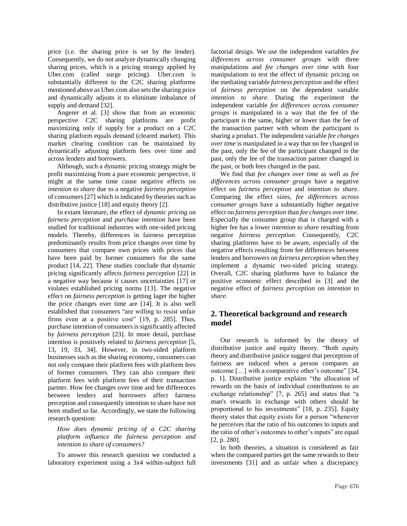price (i.e. the sharing price is set by the lender). Consequently, we do not analyze dynamically changing sharing prices, which is a pricing strategy applied by Uber.com (called surge pricing). Uber.com is substantially different to the C2C sharing platforms mentioned above as Uber.com also sets the sharing price and dynamically adjusts it to eliminate imbalance of supply and demand [32].

Angerer et al. [3] show that from an economic perspective C2C sharing platforms are profit maximizing only if supply for a product on a C2C sharing platform equals demand (cleared market). This market clearing condition can be maintained by dynamically adjusting platform fees over time and across lenders and borrowers.

Although, such a dynamic pricing strategy might be profit maximizing from a pure economic perspective, it might at the same time cause negative effects on *intention to share* due to a negative *fairness perception* of consumers [27] which is indicated by theories such as distributive justice [18] and equity theory [2].

In extant literature, the effect of *dynamic pricing* on *fairness perception* and *purchase intention* have been studied for traditional industries with one-sided pricing models. Thereby, differences in fairness perception predominantly results from price changes over time by consumers that compare own prices with prices that have been paid by former consumers for the same product [14, 22]. These studies conclude that dynamic pricing significantly affects *fairness perception* [22] in a negative way because it causes uncertainties [17] or violates established pricing norms [13]. The negative effect on *fairness perception* is getting lager the higher the price changes over time are [14]. It is also well established that consumers "are willing to resist unfair firms even at a positive cost" [19, p. 285]. Thus, purchase intention of consumers is significantly affected by *fairness perception* [23]. In more detail, purchase intention is positively related to *fairness perception* [5, 13, 19, 33, 34]. However, in two-sided platform businesses such as the sharing economy, consumers can not only compare their platform fees with platform fees of former consumers. They can also compare their platform fees with platform fees of their transaction partner. How fee changes over time and fee differences between lenders and borrowers affect fairness perception and consequently intention to share have not been studied so far. Accordingly, we state the following research question:

*How does dynamic pricing of a C2C sharing platform influence the fairness perception and intention to share of consumers?*

To answer this research question we conducted a laboratory experiment using a 3x4 within-subject full

factorial design. We use the independent variables *fee differences across consumer groups* with three manipulations and *fee changes over time* with four manipulations to test the effect of dynamic pricing on the mediating variable *fairness perception* and the effect of *fairness perception* on the dependent variable *intention to share.* During the experiment the independent variable *fee differences across consumer groups* is manipulated in a way that the fee of the participant is the same, higher or lower than the fee of the transaction partner with whom the participant is sharing a product. The independent variable *fee changes over time* is manipulated in a way that no fee changed in the past, only the fee of the participant changed in the past, only the fee of the transaction partner changed in the past, or both fees changed in the past.

We find that *fee changes over time* as well as *fee differences across consumer groups* have a negative effect on *fairness perception* and *intention to share*. Comparing the effect sizes, *fee differences across consumer groups* have a substantially higher negative effect on *fairness perception* than *fee changes over time*. Especially the consumer group that is charged with a higher fee has a lower *intention to share* resulting from negative *fairness perception*. Consequently, C2C sharing platforms have to be aware, especially of the negative effects resulting from fee differences between lenders and borrowers on *fairness perception* when they implement a dynamic two-sided pricing strategy. Overall, C2C sharing platforms have to balance the positive economic effect described in [3] and the negative effect of *fairness perception* on *intention to share*.

# **2. Theoretical background and research model**

Our research is informed by the theory of distributive justice and equity theory. "Both equity theory and distributive justice suggest that perception of fairness are induced when a person compares an outcome […] with a comparative other's outcome" [34, p. 1]. Distributive justice explains "the allocation of rewards on the basis of individual contributions to an exchange relationship" [7, p. 265] and states that "a man's rewards in exchange with others should be proportional to his investments" [18, p. 235]. Equity theory states that equity exists for a person "whenever he perceives that the ratio of his outcomes to inputs and the ratio of other's outcomes to other's inputs" are equal [2, p. 280].

In both theories, a situation is considered as fair when the compared parties get the same rewards to their investments [31] and as unfair when a discrepancy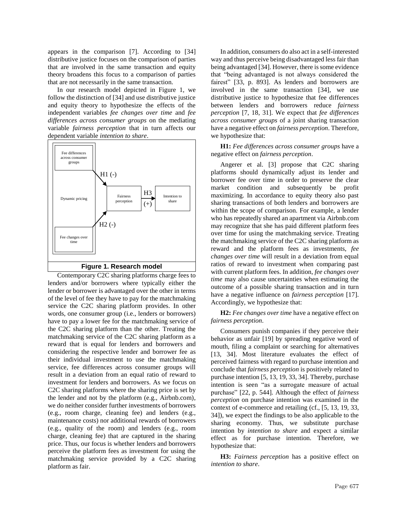appears in the comparison [7]. According to [34] distributive justice focuses on the comparison of parties that are involved in the same transaction and equity theory broadens this focus to a comparison of parties that are not necessarily in the same transaction.

In our research model depicted in Figure 1, we follow the distinction of [34] and use distributive justice and equity theory to hypothesize the effects of the independent variables *fee changes over time* and *fee differences across consumer groups* on the mediating variable *fairness perception* that in turn affects our dependent variable *intention to share*.



Contemporary C2C sharing platforms charge fees to lenders and/or borrowers where typically either the lender or borrower is advantaged over the other in terms of the level of fee they have to pay for the matchmaking service the C2C sharing platform provides. In other words, one consumer group (i.e., lenders or borrowers) have to pay a lower fee for the matchmaking service of the C2C sharing platform than the other. Treating the matchmaking service of the C2C sharing platform as a reward that is equal for lenders and borrowers and considering the respective lender and borrower fee as their individual investment to use the matchmaking service, fee differences across consumer groups will result in a deviation from an equal ratio of reward to investment for lenders and borrowers. As we focus on C2C sharing platforms where the sharing price is set by the lender and not by the platform (e.g., Airbnb.com), we do neither consider further investments of borrowers (e.g., room charge, cleaning fee) and lenders (e.g., maintenance costs) nor additional rewards of borrowers (e.g., quality of the room) and lenders (e.g., room charge, cleaning fee) that are captured in the sharing price. Thus, our focus is whether lenders and borrowers perceive the platform fees as investment for using the matchmaking service provided by a C2C sharing platform as fair.

In addition, consumers do also act in a self-interested way and thus perceive being disadvantaged less fair than being advantaged [34]. However, there is some evidence that "being advantaged is not always considered the fairest" [33, p. 893]. As lenders and borrowers are involved in the same transaction [34], we use distributive justice to hypothesize that fee differences between lenders and borrowers reduce *fairness perception* [7, 18, 31]. We expect that *fee differences across consumer groups* of a joint sharing transaction have a negative effect on *fairness perception*. Therefore, we hypothesize that:

**H1:** *Fee differences across consumer groups* have a negative effect on *fairness perception*.

Angerer et al. [3] propose that C2C sharing platforms should dynamically adjust its lender and borrower fee over time in order to preserve the clear market condition and subsequently be profit maximizing. In accordance to equity theory also past sharing transactions of both lenders and borrowers are within the scope of comparison. For example, a lender who has repeatedly shared an apartment via Airbnb.com may recognize that she has paid different platform fees over time for using the matchmaking service. Treating the matchmaking service of the C2C sharing platform as reward and the platform fees as investments, *fee changes over time* will result in a deviation from equal ratios of reward to investment when comparing past with current platform fees. In addition, *fee changes over time* may also cause uncertainties when estimating the outcome of a possible sharing transaction and in turn have a negative influence on *fairness perception* [17]. Accordingly, we hypothesize that:

**H2:** *Fee changes over time* have a negative effect on *fairness perception*.

Consumers punish companies if they perceive their behavior as unfair [19] by spreading negative word of mouth, filing a complaint or searching for alternatives [13, 34]. Most literature evaluates the effect of perceived fairness with regard to purchase intention and conclude that *fairness perception* is positively related to purchase intention [5, 13, 19, 33, 34]. Thereby, purchase intention is seen "as a surrogate measure of actual purchase" [22, p. 544]. Although the effect of *fairness perception* on purchase intention was examined in the context of e-commerce and retailing (cf., [5, 13, 19, 33, 34]), we expect the findings to be also applicable to the sharing economy. Thus, we substitute purchase intention by *intention to share* and expect a similar effect as for purchase intention. Therefore, we hypothesize that:

**H3:** *Fairness perception* has a positive effect on *intention to share*.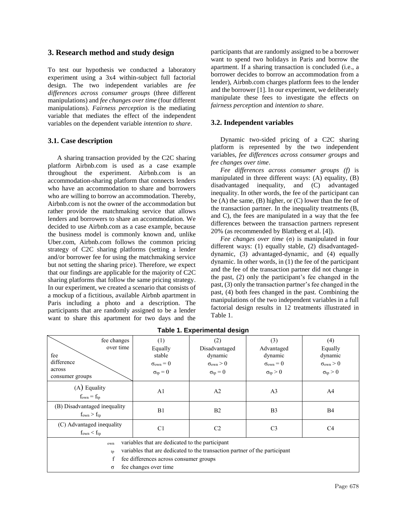# **3. Research method and study design**

To test our hypothesis we conducted a laboratory experiment using a 3x4 within-subject full factorial design. The two independent variables are *fee differences across consumer groups* (three different manipulations) and *fee changes over time* (four different manipulations). *Fairness perception* is the mediating variable that mediates the effect of the independent variables on the dependent variable *intention to share*.

# **3.1. Case description**

A sharing transaction provided by the C2C sharing platform Airbnb.com is used as a case example throughout the experiment. Airbnb.com is an accommodation-sharing platform that connects lenders who have an accommodation to share and borrowers who are willing to borrow an accommodation. Thereby, Airbnb.com is not the owner of the accommodation but rather provide the matchmaking service that allows lenders and borrowers to share an accommodation. We decided to use Airbnb.com as a case example, because the business model is commonly known and, unlike Uber.com, Airbnb.com follows the common pricing strategy of C2C sharing platforms (setting a lender and/or borrower fee for using the matchmaking service but not setting the sharing price). Therefore, we expect that our findings are applicable for the majority of C2C sharing platforms that follow the same pricing strategy. In our experiment, we created a scenario that consists of a mockup of a fictitious, available Airbnb apartment in Paris including a photo and a description. The participants that are randomly assigned to be a lender want to share this apartment for two days and the

participants that are randomly assigned to be a borrower want to spend two holidays in Paris and borrow the apartment. If a sharing transaction is concluded (i.e., a borrower decides to borrow an accommodation from a lender), Airbnb.com charges platform fees to the lender and the borrower [1]. In our experiment, we deliberately manipulate these fees to investigate the effects on *fairness perception* and *intention to share*.

### **3.2. Independent variables**

Dynamic two-sided pricing of a C2C sharing platform is represented by the two independent variables, *fee differences across consumer groups* and *fee changes over time*.

*Fee differences across consumer groups (f)* is manipulated in three different ways: (A) equality, (B) disadvantaged inequality, and (C) advantaged inequality. In other words, the fee of the participant can be (A) the same, (B) higher, or (C) lower than the fee of the transaction partner. In the inequality treatments (B, and C), the fees are manipulated in a way that the fee differences between the transaction partners represent 20% (as recommended by Blattberg et al. [4]).

*Fee changes over time* (σ) is manipulated in four different ways: (1) equally stable, (2) disadvantageddynamic, (3) advantaged-dynamic, and (4) equally dynamic. In other words, in (1) the fee of the participant and the fee of the transaction partner did not change in the past, (2) only the participant's fee changed in the past, (3) only the transaction partner's fee changed in the past, (4) both fees changed in the past. Combining the manipulations of the two independent variables in a full factorial design results in 12 treatments illustrated in Table 1.

| fee changes<br>over time<br>fee<br>difference                                    | (1)<br>Equally<br>stable<br>$\sigma_{\text{own}}=0$ | (2)<br>Disadvantaged<br>dynamic<br>$\sigma_{\text{own}} > 0$ | (3)<br>Advantaged<br>dynamic<br>$\sigma_{\text{own}}=0$ | (4)<br>Equally<br>dynamic<br>$\sigma_{\text{own}} > 0$ |  |  |  |
|----------------------------------------------------------------------------------|-----------------------------------------------------|--------------------------------------------------------------|---------------------------------------------------------|--------------------------------------------------------|--|--|--|
| across<br>consumer groups                                                        | $\sigma_{tp} = 0$                                   | $\sigma_{tp} = 0$                                            | $\sigma_{tp} > 0$                                       | $\sigma_{tp} > 0$                                      |  |  |  |
| $(A)$ Equality<br>$f_{own} = f_{tp}$                                             | A <sub>1</sub>                                      | A <sub>2</sub>                                               | A <sub>3</sub>                                          | A <sup>4</sup>                                         |  |  |  |
| (B) Disadvantaged inequality<br>$f_{own} > f_{tp}$                               | B1                                                  | B <sub>2</sub>                                               | B <sub>3</sub>                                          | <b>B4</b>                                              |  |  |  |
| (C) Advantaged inequality<br>$f_{own} < f_{tp}$                                  | C <sub>1</sub>                                      | C <sub>2</sub>                                               | C <sub>3</sub>                                          | C <sub>4</sub>                                         |  |  |  |
| variables that are dedicated to the participant<br>own                           |                                                     |                                                              |                                                         |                                                        |  |  |  |
| variables that are dedicated to the transaction partner of the participant<br>tp |                                                     |                                                              |                                                         |                                                        |  |  |  |
| f<br>fee differences across consumer groups                                      |                                                     |                                                              |                                                         |                                                        |  |  |  |
| fee changes over time<br>σ                                                       |                                                     |                                                              |                                                         |                                                        |  |  |  |

# **Table 1. Experimental design**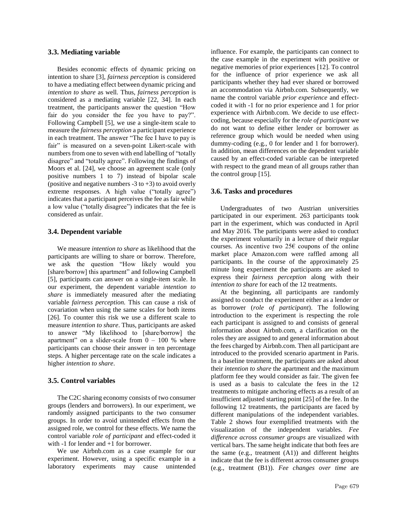#### **3.3. Mediating variable**

Besides economic effects of dynamic pricing on intention to share [3], *fairness perception* is considered to have a mediating effect between dynamic pricing and *intention to share* as well*.* Thus, *fairness perception* is considered as a mediating variable [22, 34]. In each treatment, the participants answer the question "How fair do you consider the fee you have to pay?". Following Campbell [5], we use a single-item scale to measure the *fairness perception* a participant experience in each treatment. The answer "The fee I have to pay is fair" is measured on a seven-point Likert-scale with numbers from one to seven with end labelling of "totally disagree" and "totally agree". Following the findings of Moors et al. [24], we choose an agreement scale (only positive numbers 1 to 7) instead of bipolar scale (positive and negative numbers  $-3$  to  $+3$ ) to avoid overly extreme responses. A high value ("totally agree") indicates that a participant perceives the fee as fair while a low value ("totally disagree") indicates that the fee is considered as unfair.

### **3.4. Dependent variable**

We measure *intention to share* as likelihood that the participants are willing to share or borrow. Therefore, we ask the question "How likely would you [share/borrow] this apartment" and following Campbell [5], participants can answer on a single-item scale. In our experiment, the dependent variable *intention to share* is immediately measured after the mediating variable *fairness perception.* This can cause a risk of covariation when using the same scales for both items [26]. To counter this risk we use a different scale to measure *intention to share*. Thus, participants are asked to answer "My likelihood to [share/borrow] the apartment" on a slider-scale from  $0 - 100$  % where participants can choose their answer in ten percentage steps. A higher percentage rate on the scale indicates a higher *intention to share*.

#### **3.5. Control variables**

The C2C sharing economy consists of two consumer groups (lenders and borrowers). In our experiment, we randomly assigned participants to the two consumer groups. In order to avoid unintended effects from the assigned role, we control for these effects. We name the control variable *role of participant* and effect-coded it with  $-1$  for lender and  $+1$  for borrower.

We use Airbnb.com as a case example for our experiment. However, using a specific example in a laboratory experiments may cause unintended

influence. For example, the participants can connect to the case example in the experiment with positive or negative memories of prior experiences [12]. To control for the influence of prior experience we ask all participants whether they had ever shared or borrowed an accommodation via Airbnb.com. Subsequently, we name the control variable *prior experience* and effectcoded it with -1 for no prior experience and 1 for prior experience with Airbnb.com. We decide to use effectcoding, because especially for the *role of participant* we do not want to define either lender or borrower as reference group which would be needed when using dummy-coding (e.g., 0 for lender and 1 for borrower). In addition, mean differences on the dependent variable caused by an effect-coded variable can be interpreted with respect to the grand mean of all groups rather than the control group [15].

#### **3.6. Tasks and procedures**

Undergraduates of two Austrian universities participated in our experiment. 263 participants took part in the experiment, which was conducted in April and May 2016. The participants were asked to conduct the experiment voluntarily in a lecture of their regular courses. As incentive two  $25\epsilon$  coupons of the online market place Amazon.com were raffled among all participants. In the course of the approximately 25 minute long experiment the participants are asked to express their *fairness perception* along with their *intention to share* for each of the 12 treatments.

At the beginning, all participants are randomly assigned to conduct the experiment either as a lender or as borrower (*role of participant*). The following introduction to the experiment is respecting the role each participant is assigned to and consists of general information about Airbnb.com, a clarification on the roles they are assigned to and general information about the fees charged by Airbnb.com. Then all participant are introduced to the provided scenario apartment in Paris. In a baseline treatment, the participants are asked about their *intention to share* the apartment and the maximum platform fee they would consider as fair. The given fee is used as a basis to calculate the fees in the 12 treatments to mitigate anchoring effects as a result of an insufficient adjusted starting point [25] of the fee. In the following 12 treatments, the participants are faced by different manipulations of the independent variables. Table 2 shows four exemplified treatments with the visualization of the independent variables. *Fee difference across consumer groups* are visualized with vertical bars. The same height indicate that both fees are the same (e.g., treatment (A1)) and different heights indicate that the fee is different across consumer groups (e.g., treatment (B1)). *Fee changes over time* are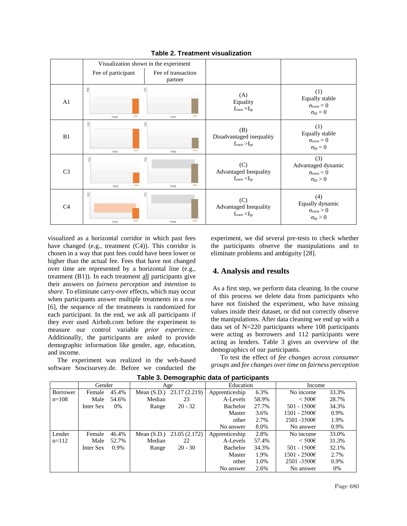

**Table 2. Treatment visualization**

visualized as a horizontal corridor in which past fees have changed (e.g., treatment (C4)). This corridor is chosen in a way that past fees could have been lower or higher than the actual fee. Fees that have not changed over time are represented by a horizontal line (e.g., treatment (B1)). In each treatment all participants give their answers on *fairness perception* and *intention to share*. To eliminate carry-over effects, which may occur when participants answer multiple treatments in a row [6], the sequence of the treatments is randomized for each participant. In the end, we ask all participants if they ever used Airbnb.com before the experiment to measure our control variable *prior experience*. Additionally, the participants are asked to provide demographic information like gender, age, education, and income.

The experiment was realized in the web-based software Soscisurvey.de. Before we conducted the experiment, we did several pre-tests to check whether the participants observe the manipulations and to eliminate problems and ambiguity [28].

### **4. Analysis and results**

As a first step, we perform data cleaning. In the course of this process we delete data from participants who have not finished the experiment, who have missing values inside their dataset, or did not correctly observe the manipulations. After data cleaning we end up with a data set of N=220 participants where 108 participants were acting as borrowers and 112 participants were acting as lenders. Table 3 gives an overview of the demographics of our participants.

To test the effect of *fee changes across consumer groups* and *fee changes over time* on *fairness perception*

|                 | Gender    |       | Age    |                           | Education      |       | Income              |       |
|-----------------|-----------|-------|--------|---------------------------|----------------|-------|---------------------|-------|
| <b>Borrower</b> | Female    | 45.4% |        | Mean (S.D.) 23.17 (2.219) | Apprenticeship | 6.3%  | No income           | 33.3% |
| $n = 108$       | Male      | 54.6% | Median | 23                        | A-Levels       | 58.9% | $\leq 500 \epsilon$ | 28.7% |
|                 | Inter Sex | 0%    | Range  | $20 - 32$                 | Bachelor       | 27.7% | 501 - 1500€         | 34.3% |
|                 |           |       |        |                           | Master         | 3.6%  | $1501 - 2500€$      | 0.9%  |
|                 |           |       |        |                           | other          | 2.7%  | $2501 - 3500 \in$   | 1.9%  |
|                 |           |       |        |                           | No answer      | 8.0%  | No answer           | 0.9%  |
| Lender          | Female    | 46.4% |        | Mean (S.D.) 23.05 (2.172) | Apprenticeship | 2.8%  | No income           | 33.0% |
| $n=112$         | Male      | 52.7% | Median | 22                        | A-Levels       | 57.4% | $\leq 500 \epsilon$ | 31.3% |
|                 | Inter Sex | 0.9%  | Range  | $20 - 30$                 | Bachelor       | 34.3% | 501 - 1500€         | 32.1% |
|                 |           |       |        |                           | Master         | 1.9%  | $1501 - 2500 \in$   | 2.7%  |
|                 |           |       |        |                           | other          | 1.0%  | $2501 - 3500 \in$   | 0.9%  |
|                 |           |       |        |                           | No answer      | 2.6%  | No answer           | $0\%$ |

**Table 3. Demographic data of participants**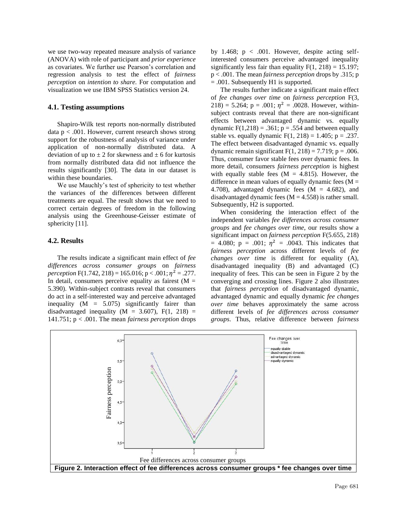we use two-way repeated measure analysis of variance (ANOVA) with role of participant and *prior experience*  as covariates. We further use Pearson's correlation and regression analysis to test the effect of *fairness perception* on *intention to share.* For computation and visualization we use IBM SPSS Statistics version 24.

#### **4.1. Testing assumptions**

Shapiro-Wilk test reports non-normally distributed data  $p < .001$ . However, current research shows strong support for the robustness of analysis of variance under application of non-normally distributed data. A deviation of up to  $\pm 2$  for skewness and  $\pm 6$  for kurtosis from normally distributed data did not influence the results significantly [30]. The data in our dataset is within these boundaries.

We use Mauchly's test of sphericity to test whether the variances of the differences between different treatments are equal. The result shows that we need to correct certain degrees of freedom in the following analysis using the Greenhouse-Geisser estimate of sphericity [11].

### **4.2. Results**

The results indicate a significant main effect of *fee differences across consumer groups* on *fairness perception*  $F(1.742, 218) = 165.016$ ;  $p < .001$ ;  $\eta^2 = .277$ . In detail, consumers perceive equality as fairest  $(M =$ 5.390). Within-subject contrasts reveal that consumers do act in a self-interested way and perceive advantaged inequality  $(M = 5.075)$  significantly fairer than disadvantaged inequality ( $M = 3.607$ ),  $F(1, 218) =$ 141.751; p < .001. The mean *fairness perception* drops

by 1.468;  $p < .001$ . However, despite acting selfinterested consumers perceive advantaged inequality significantly less fair than equality  $F(1, 218) = 15.197$ ; p < .001. The mean *fairness perception* drops by .315; p = .001. Subsequently H1 is supported.

The results further indicate a significant main effect of *fee changes over time* on *fairness perception* F(3,  $218$ ) = 5.264; p = .001;  $\eta^2$  = .0028. However, withinsubject contrasts reveal that there are non-significant effects between advantaged dynamic vs. equally dynamic  $F(1,218) = .361$ ;  $p = .554$  and between equally stable vs. equally dynamic  $F(1, 218) = 1.405$ ; p = .237. The effect between disadvantaged dynamic vs. equally dynamic remain significant  $F(1, 218) = 7.719$ ; p = .006. Thus, consumer favor stable fees over dynamic fees. In more detail, consumers *fairness perception* is highest with equally stable fees  $(M = 4.815)$ . However, the difference in mean values of equally dynamic fees  $(M =$ 4.708), advantaged dynamic fees  $(M = 4.682)$ , and disadvantaged dynamic fees  $(M = 4.558)$  is rather small. Subsequently, H2 is supported.

When considering the interaction effect of the independent variables *fee differences across consumer groups* and *fee changes over time*, our results show a significant impact on *fairness perception* F(5.655, 218) = 4.080;  $p = .001$ ;  $\eta^2 = .0043$ . This indicates that *fairness perception* across different levels of *fee changes over time* is different for equality (A), disadvantaged inequality (B) and advantaged (C) inequality of fees. This can be seen in Figure 2 by the converging and crossing lines. Figure 2 also illustrates that *fairness perception* of disadvantaged dynamic, advantaged dynamic and equally dynamic *fee changes over time* behaves approximately the same across different levels of *fee differences across consumer groups*. Thus, relative difference between *fairness* 

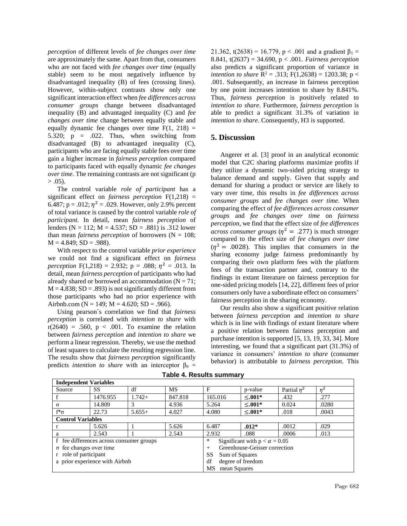*perception* of different levels of *fee changes over time* are approximately the same. Apart from that, consumers who are not faced with *fee changes over time* (equally stable) seem to be most negatively influence by disadvantaged inequality (B) of fees (crossing lines). However, within-subject contrasts show only one significant interaction effect when *fee differences across consumer groups* change between disadvantaged inequality (B) and advantaged inequality (C) and *fee changes over time* change between equally stable and equally dynamic fee changes over time  $F(1, 218) =$ 5.320;  $p = .022$ . Thus, when switching from disadvantaged (B) to advantaged inequality (C), participants who are facing equally stable fees over time gain a higher increase in *fairness perception* compared to participants faced with equally dynamic *fee changes over time*. The remaining contrasts are not significant (p  $> .05$ ).

The control variable *role of participant* has a significant effect on *fairness perception* F(1,218) = 6.487;  $p = .012$ ;  $\eta^2 = .029$ . However, only 2.9% percent of total variance is caused by the control variable *role of participant.* In detail, mean *fairness perception* of lenders ( $N = 112$ ;  $M = 4.537$ ;  $SD = .881$ ) is .312 lower than mean *fairness perception* of borrowers ( $N = 108$ ;  $M = 4.849$ ;  $SD = .988$ ).

With respect to the control variable *prior experience*  we could not find a significant effect on *fairness perception*  $F(1,218) = 2.932$ ;  $p = .088$ ;  $\eta^2 = .013$ . In detail, mean *fairness perception* of participants who had already shared or borrowed an accommodation  $(N = 71)$ ;  $M = 4.838$ ; SD = .893) is not significantly different from those participants who had no prior experience with Airbnb.com ( $N = 149$ ;  $M = 4.620$ ;  $SD = .966$ ).

Using pearson`s correlation we find that *fairness perception* is correlated with *intention to share* with  $r(2640) = .560$ ,  $p < .001$ . To examine the relation between *fairness perception* and *intention to share* we perform a linear regression. Thereby, we use the method of least squares to calculate the resulting regression line. The results show that *fairness perception* significantly predicts *intention to share* with an interceptor  $\beta_0$  =

21.362, t(2638) = 16.779, p < .001 and a gradient  $\beta_1$  = 8.841, t(2637) = 34.690, p < .001. *Fairness perception* also predicts a significant proportion of variance in *intention to share*  $R^2 = .313$ ;  $F(1,2638) = 1203.38$ ;  $p <$ .001. Subsequently, an increase in fairness perception by one point increases intention to share by 8.841%. Thus, *fairness perception* is positively related to *intention to share*. Furthermore, *fairness perception* is able to predict a significant 31.3% of variation in *intention to share*. Consequently, H3 is supported.

### **5. Discussion**

Angerer et al. [3] proof in an analytical economic model that C2C sharing platforms maximize profits if they utilize a dynamic two-sided pricing strategy to balance demand and supply. Given that supply and demand for sharing a product or service are likely to vary over time, this results in *fee differences across consumer groups* and *fee changes over time*. When comparing the effect of *fee differences across consumer groups* and *fee changes over time* on *fairness perception*, we find that the effect size of *fee differences across consumer groups* ( $\eta^2 = .277$ ) is much stronger compared to the effect size of *fee changes over time*  $(\eta^2 = .0028)$ . This implies that consumers in the sharing economy judge fairness predominantly by comparing their own platform fees with the platform fees of the transaction partner and, contrary to the findings in extant literature on fairness perception for one-sided pricing models [14, 22], different fees of prior consumers only have a subordinate effect on consumers' fairness perception in the sharing economy.

Our results also show a significant positive relation between *fairness perception* and *intention to share* which is in line with findings of extant literature where a positive relation between fairness perception and purchase intention is supported [5, 13, 19, 33, 34]. More interesting, we found that a significant part (31.3%) of variance in consumers' *intention to share* (consumer behavior) is attributable to *fairness perception*. This

| <b>Independent Variables</b>             |           |          |                                                |         |              |               |                |  |
|------------------------------------------|-----------|----------|------------------------------------------------|---------|--------------|---------------|----------------|--|
| Source                                   | <b>SS</b> | df       | MS                                             | F       | p-value      | Partial $n^2$ | n <sup>2</sup> |  |
|                                          | 1476.955  | $1.742+$ | 847.818                                        | 165.016 | $≤.001*$     | .432          | .277           |  |
| $\sigma$                                 | 14.809    |          | 4.936                                          | 5.264   | $< .001*$    | 0.024         | .0280          |  |
| $f^*\sigma$                              | 22.73     | $5.655+$ | 4.027                                          | 4.080   | $\leq 0.01*$ | .018          | .0043          |  |
| <b>Control Variables</b>                 |           |          |                                                |         |              |               |                |  |
|                                          | 5.626     |          | 5.626                                          | 6.487   | $.012*$      | .0012         | .029           |  |
| a                                        | 2.543     |          | 2.543                                          | 2.932   | .088         | .0006         | .013           |  |
| f fee differences across consumer groups |           |          | Significant with $p < \alpha = 0.05$<br>$\ast$ |         |              |               |                |  |
| $\sigma$ fee changes over time           |           |          | Greenhouse-Geisser correction<br>$^{+}$        |         |              |               |                |  |
| r role of participant                    |           |          | SS<br>Sum of Squares                           |         |              |               |                |  |
| a prior experience with Airbnb           |           |          | degree of freedom<br>df                        |         |              |               |                |  |
|                                          |           |          | <b>MS</b><br>mean Squares                      |         |              |               |                |  |

#### **Table 4. Results summary**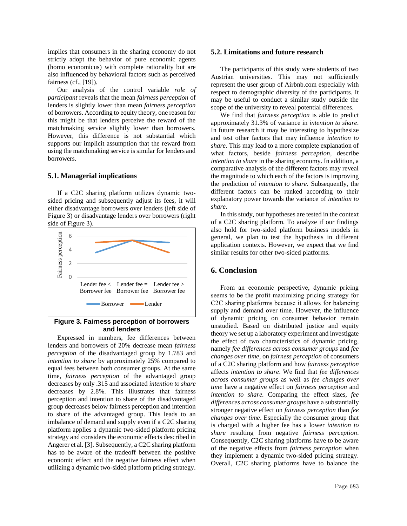implies that consumers in the sharing economy do not strictly adopt the behavior of pure economic agents (homo economicus) with complete rationality but are also influenced by behavioral factors such as perceived fairness (cf., [19]).

Our analysis of the control variable *role of participant* reveals that the mean *fairness perception* of lenders is slightly lower than mean *fairness perception* of borrowers. According to equity theory, one reason for this might be that lenders perceive the reward of the matchmaking service slightly lower than borrowers. However, this difference is not substantial which supports our implicit assumption that the reward from using the matchmaking service is similar for lenders and borrowers.

#### **5.1. Managerial implications**

If a C2C sharing platform utilizes dynamic twosided pricing and subsequently adjust its fees, it will either disadvantage borrowers over lenders (left side of Figure 3) or disadvantage lenders over borrowers (right side of Figure 3).



# **Figure 3. Fairness perception of borrowers and lenders**

Expressed in numbers, fee differences between lenders and borrowers of 20% decrease mean *fairness perception* of the disadvantaged group by 1.783 and *intention to share* by approximately 25% compared to equal fees between both consumer groups. At the same time, *fairness perception* of the advantaged group decreases by only .315 and associated *intention to share* decreases by 2.8%. This illustrates that fairness perception and intention to share of the disadvantaged group decreases below fairness perception and intention to share of the advantaged group. This leads to an imbalance of demand and supply even if a C2C sharing platform applies a dynamic two-sided platform pricing strategy and considers the economic effects described in Angerer et al. [3]. Subsequently, a C2C sharing platform has to be aware of the tradeoff between the positive economic effect and the negative fairness effect when utilizing a dynamic two-sided platform pricing strategy.

#### **5.2. Limitations and future research**

The participants of this study were students of two Austrian universities. This may not sufficiently represent the user group of Airbnb.com especially with respect to demographic diversity of the participants. It may be useful to conduct a similar study outside the scope of the university to reveal potential differences.

We find that *fairness perception* is able to predict approximately 31.3% of variance in *intention to share*. In future research it may be interesting to hypothesize and test other factors that may influence *intention to share*. This may lead to a more complete explanation of what factors, beside *fairness perception*, describe *intention to share* in the sharing economy. In addition, a comparative analysis of the different factors may reveal the magnitude to which each of the factors is improving the prediction of *intention to share*. Subsequently, the different factors can be ranked according to their explanatory power towards the variance of *intention to share*.

In this study, our hypotheses are tested in the context of a C2C sharing platform. To analyze if our findings also hold for two-sided platform business models in general, we plan to test the hypothesis in different application contexts. However, we expect that we find similar results for other two-sided platforms.

# **6. Conclusion**

From an economic perspective, dynamic pricing seems to be the profit maximizing pricing strategy for C2C sharing platforms because it allows for balancing supply and demand over time. However, the influence of dynamic pricing on consumer behavior remain unstudied. Based on distributed justice and equity theory we set up a laboratory experiment and investigate the effect of two characteristics of dynamic pricing, namely *fee differences across consumer groups* and *fee changes over time,* on *fairness perception* of consumers of a C2C sharing platform and how *fairness perception* affects *intention to share*. We find that *fee differences across consumer groups* as well as *fee changes over time* have a negative effect on *fairness perception* and *intention to share.* Comparing the effect sizes, *fee differences across consumer groups* have a substantially stronger negative effect on *fairness perception* than *fee changes over time*. Especially the consumer group that is charged with a higher fee has a lower *intention to share* resulting from negative *fairness perception*. Consequently, C2C sharing platforms have to be aware of the negative effects from *fairness perception* when they implement a dynamic two-sided pricing strategy. Overall, C2C sharing platforms have to balance the